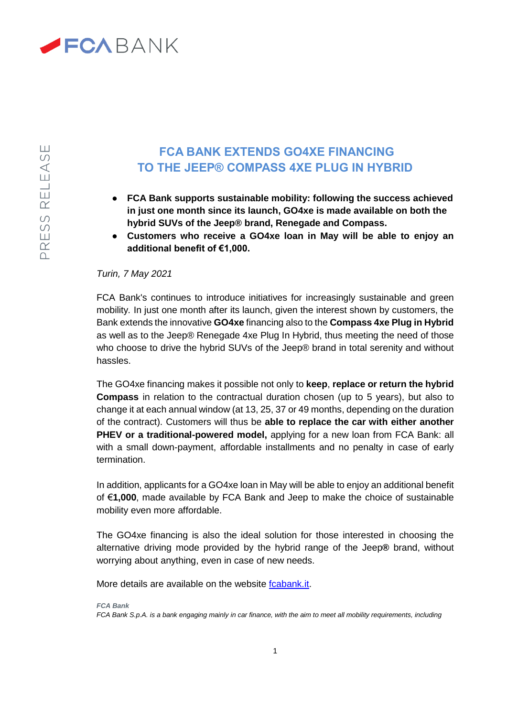

## **FCA BANK EXTENDS GO4XE FINANCING TO THE JEEP® COMPASS 4XE PLUG IN HYBRID**

- **FCA Bank supports sustainable mobility: following the success achieved in just one month since its launch, GO4xe is made available on both the hybrid SUVs of the Jeep® brand, Renegade and Compass.**
- **Customers who receive a GO4xe loan in May will be able to enjoy an additional benefit of €1,000.**

## *Turin, 7 May 2021*

FCA Bank's continues to introduce initiatives for increasingly sustainable and green mobility*.* In just one month after its launch, given the interest shown by customers, the Bank extends the innovative **GO4xe** financing also to the **Compass 4xe Plug in Hybrid** as well as to the Jeep® Renegade 4xe Plug In Hybrid, thus meeting the need of those who choose to drive the hybrid SUVs of the Jeep® brand in total serenity and without hassles.

The GO4xe financing makes it possible not only to **keep**, **replace or return the hybrid Compass** in relation to the contractual duration chosen (up to 5 years), but also to change it at each annual window (at 13, 25, 37 or 49 months, depending on the duration of the contract). Customers will thus be **able to replace the car with either another PHEV or a traditional-powered model,** applying for a new loan from FCA Bank: all with a small down-payment, affordable installments and no penalty in case of early termination.

In addition, applicants for a GO4xe loan in May will be able to enjoy an additional benefit of €**1,000**, made available by FCA Bank and Jeep to make the choice of sustainable mobility even more affordable.

The GO4xe financing is also the ideal solution for those interested in choosing the alternative driving mode provided by the hybrid range of the Jeep**®** brand, without worrying about anything, even in case of new needs.

More details are available on the website [fcabank.it.](file:///D:/users/u051486/Downloads/fcabank.it)

*FCA Bank FCA Bank S.p.A. is a bank engaging mainly in car finance, with the aim to meet all mobility requirements, including*